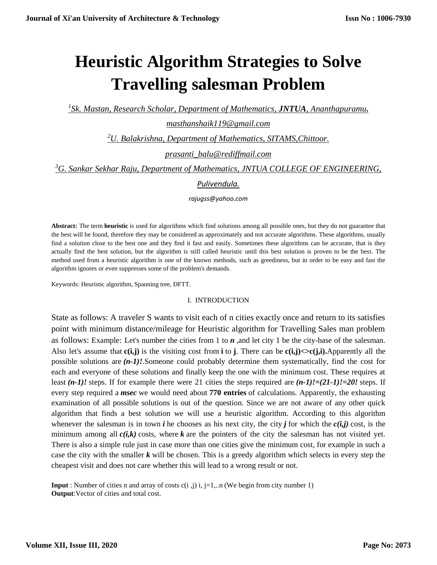# **Heuristic Algorithm Strategies to Solve Travelling salesman Problem**

*1 Sk. Mastan, Research Scholar, Department of Mathematics, JNTUA, Ananthapuramu***.** 

*[masthanshaik119@gmail.com](mailto:masthanshaik119@gmail.com)*

*<sup>2</sup>U. Balakrishna, Department of Mathematics, SITAMS,Chittoor.* 

*[prasanti\\_balu@rediffmail.com](mailto:prasanti_balu@rediffmail.com)*

*<sup>3</sup>G. Sankar Sekhar Raju, Department of Mathematics, JNTUA COLLEGE OF ENGINEERING,*

## *Pulivendula.*

*rajugss@yahoo.com*

**Abstract:** The term **heuristic** is used for algorithms which find solutions among all possible ones, but they do not guarantee that the best will be found, therefore they may be considered as approximately and not accurate algorithms. These algorithms, usually find a solution close to the best one and they find it fast and easily. Sometimes these algorithms can be accurate, that is they actually find the best solution, but the algorithm is still called heuristic until this best solution is proven to be the best. The method used from a heuristic algorithm is one of the known methods, such as greediness, but in order to be easy and fast the algorithm ignores or even suppresses some of the problem's demands.

Keywords: Heuristic algorithm, Spanning tree, DFTT.

### I. INTRODUCTION

State as follows: A traveler S wants to visit each of n cities exactly once and return to its satisfies point with minimum distance/mileage for Heuristic algorithm for Travelling Sales man problem as follows: Example: Let's number the cities from 1 to *n* ,and let city 1 be the city-base of the salesman. Also let's assume that  $c(i,j)$  is the visiting cost from **i** to **j**. There can be  $c(i,j) \leq c(j,i)$ . Apparently all the possible solutions are *(n-1)!*.Someone could probably determine them systematically, find the cost for each and everyone of these solutions and finally keep the one with the minimum cost. These requires at least *(n-1)!* steps. If for example there were 21 cities the steps required are *(n-1)!=(21-1)!=20!* steps. If every step required a *msec* we would need about **770 entries** of calculations. Apparently, the exhausting examination of all possible solutions is out of the question. Since we are not aware of any other quick algorithm that finds a best solution we will use a heuristic algorithm. According to this algorithm whenever the salesman is in town *i* he chooses as his next city, the city *j* for which the  $c(i,j)$  cost, is the minimum among all  $c(i,k)$  costs, where k are the pointers of the city the salesman has not visited yet. There is also a simple rule just in case more than one cities give the minimum cost, for example in such a case the city with the smaller *k* will be chosen. This is a greedy algorithm which selects in every step the cheapest visit and does not care whether this will lead to a wrong result or not.

**Input** : Number of cities n and array of costs  $c(i, j)$  i,  $j = 1, \dots n$  (We begin from city number 1) **Output**:Vector of cities and total cost.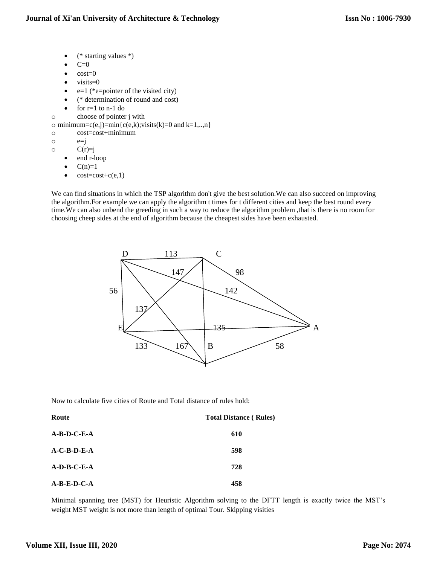- (\* starting values \*)
- $C=0$
- cost=0
- $\bullet$  visits=0
- $e=1$  (\*e=pointer of the visited city)
- (\* determination of round and cost)
- $\bullet$  for  $r=1$  to n-1 do
- o choose of pointer j with

```
\circ minimum=c(e,j)=min{c(e,k);visits(k)=0 and k=1,..,n}
```
- o cost=cost+minimum
- $\circ$   $e=i$
- $C(r)=j$ 
	- end r-loop
	- $C(n)=1$
	- $cost = cost + c(e,1)$

We can find situations in which the TSP algorithm don't give the best solution. We can also succeed on improving the algorithm.For example we can apply the algorithm t times for t different cities and keep the best round every time.We can also unbend the greeding in such a way to reduce the algorithm problem ,that is there is no room for choosing cheep sides at the end of algorithm because the cheapest sides have been exhausted.



Now to calculate five cities of Route and Total distance of rules hold:

| Route         | <b>Total Distance (Rules)</b> |  |  |
|---------------|-------------------------------|--|--|
| $A-B-D-C-E-A$ | 610                           |  |  |
| $A-C-B-D-E-A$ | 598                           |  |  |
| $A-D-B-C-E-A$ | 728                           |  |  |
| $A-B-E-D-C-A$ | 458                           |  |  |

Minimal spanning tree (MST) for Heuristic Algorithm solving to the DFTT length is exactly twice the MST's weight MST weight is not more than length of optimal Tour. Skipping visities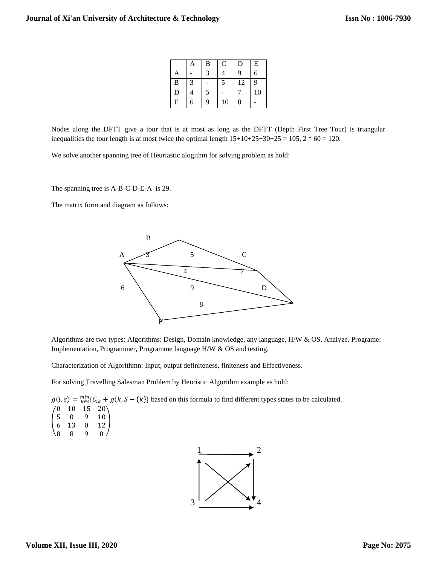|                | A | B | $\mathsf{C}$ | D  | ${\bf E}$ |
|----------------|---|---|--------------|----|-----------|
| $\mathbf{A}$   |   | 3 | 4            | 9  | 6         |
| $\overline{B}$ | 3 |   | 5            | 12 | 9         |
| $\overline{D}$ | 4 | 5 |              |    | 10        |
| E              | 6 | 9 | 10           | 8  |           |

Nodes along the DFTT give a tour that is at most as long as the DFTT (Depth First Tree Tour) is triangular inequalities the tour length is at most twice the optimal length  $15+10+25+30+25 = 105$ ,  $2 * 60 = 120$ .

We solve another spanning tree of Heuriastic alogithm for solving problem as hold:

The spanning tree is A-B-C-D-E-A is 29.

The matrix form and diagram as follows:



Algorithms are two types: Algorithms: Design, Domain knowledge, any language, H/W & OS, Analyze. Programe: Implementation, Programmer, Programme language H/W & OS and testing.

Characterization of Algorithmn: Input, output definiteness, finiteness and Effectiveness.

For solving Travelling Salesman Problem by Heuristic Algorithm example as hold:

 $g(i, s) = \frac{\min}{k \in S} \{C_{ik} + g(k, S - \{k\}\}\)$  based on this formula to find different types states to be calculated.  $\begin{array}{c} 5 \\ 6 \end{array}$  $10 \t15 \t20$  $\begin{bmatrix} 5 & 0 & 9 & 10 \\ 6 & 13 & 0 & 13 \end{bmatrix}$ 6 13 0 12 8 8 9 0

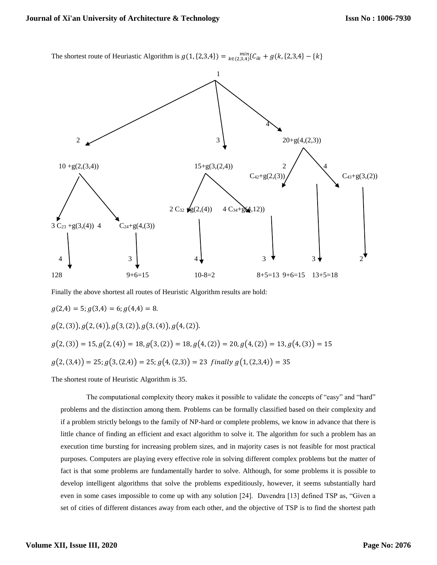The shortest route of Heuriastic Algorithm is  $g(1, {2,3,4}) = \min_{k \in (2,3,4)} C_{ik} + g(k, {2,3,4}) - \{k\}$ 



Finally the above shortest all routes of Heuristic Algorithm results are hold:

$$
g(2,4) = 5; g(3,4) = 6; g(4,4) = 8.
$$
  
\n
$$
g(2,(3)), g(2,(4)), g(3,(2)), g(3,(4)), g(4,(2)).
$$
  
\n
$$
g(2,(3)) = 15, g(2,(4)) = 18, g(3,(2)) = 18, g(4,(2)) = 20, g(4,(2)) = 13, g(4,(3)) = 15
$$
  
\n
$$
g(2,(3,4)) = 25; g(3,(2,4)) = 25; g(4,(2,3)) = 23 \text{ finally } g(1,(2,3,4)) = 35
$$

The shortest route of Heuristic Algorithm is 35.

The computational complexity theory makes it possible to validate the concepts of "easy" and "hard" problems and the distinction among them. Problems can be formally classified based on their complexity and if a problem strictly belongs to the family of NP-hard or complete problems, we know in advance that there is little chance of finding an efficient and exact algorithm to solve it. The algorithm for such a problem has an execution time bursting for increasing problem sizes, and in majority cases is not feasible for most practical purposes. Computers are playing every effective role in solving different complex problems but the matter of fact is that some problems are fundamentally harder to solve. Although, for some problems it is possible to develop intelligent algorithms that solve the problems expeditiously, however, it seems substantially hard even in some cases impossible to come up with any solution [24]. Davendra [13] defined TSP as, "Given a set of cities of different distances away from each other, and the objective of TSP is to find the shortest path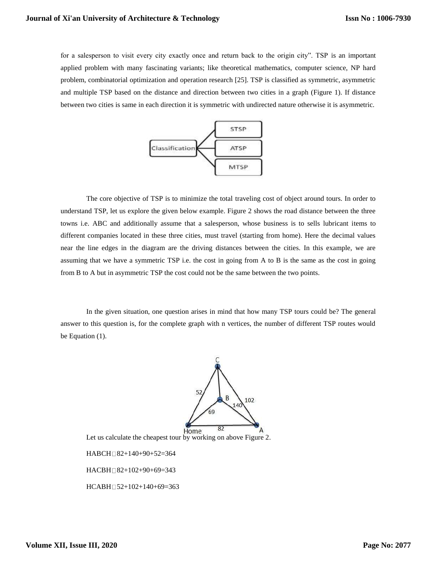for a salesperson to visit every city exactly once and return back to the origin city". TSP is an important applied problem with many fascinating variants; like theoretical mathematics, computer science, NP hard problem, combinatorial optimization and operation research [25]. TSP is classified as symmetric, asymmetric and multiple TSP based on the distance and direction between two cities in a graph (Figure 1). If distance between two cities is same in each direction it is symmetric with undirected nature otherwise it is asymmetric.



The core objective of TSP is to minimize the total traveling cost of object around tours. In order to understand TSP, let us explore the given below example. Figure 2 shows the road distance between the three towns i.e. ABC and additionally assume that a salesperson, whose business is to sells lubricant items to different companies located in these three cities, must travel (starting from home). Here the decimal values near the line edges in the diagram are the driving distances between the cities. In this example, we are assuming that we have a symmetric TSP i.e. the cost in going from A to B is the same as the cost in going from B to A but in asymmetric TSP the cost could not be the same between the two points.

In the given situation, one question arises in mind that how many TSP tours could be? The general answer to this question is, for the complete graph with n vertices, the number of different TSP routes would be Equation (1).



Let us calculate the cheapest tour by working on above Figure 2.

HABCH 82+140+90+52=364

HACBH□82+102+90+69=343

HCABH 52+102+140+69=363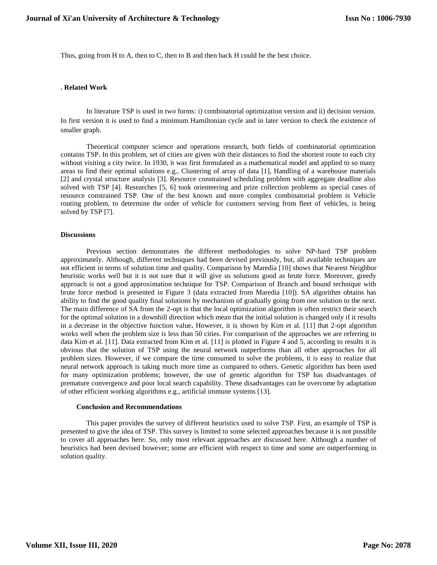Thus, going from H to A, then to C, then to B and then back H could be the best choice.

#### **. Related Work**

In literature TSP is used in two forms: i) combinatorial optimization version and ii) decision version. In first version it is used to find a minimum Hamiltonian cycle and in later version to check the existence of smaller graph.

Theoretical computer science and operations research, both fields of combinatorial optimization contains TSP. In this problem, set of cities are given with their distances to find the shortest route to each city without visiting a city twice. In 1930, it was first formulated as a mathematical model and applied to so many areas to find their optimal solutions e.g., Clustering of array of data [1], Handling of a warehouse materials [2] and crystal structure analysis [3]. Resource constrained scheduling problem with aggregate deadline also solved with TSP [4]. Researches [5, 6] took orienteering and prize collection problems as special cases of resource constrained TSP. One of the best known and more complex combinatorial problem is Vehicle routing problem, to determine the order of vehicle for customers serving from fleet of vehicles, is being solved by TSP [7].

#### **Discussions**

Previous section demonstrates the different methodologies to solve NP-hard TSP problem approximately. Although, different techniques had been devised previously, but, all available techniques are not efficient in terms of solution time and quality. Comparison by Maredia [10] shows that Nearest Neighbor heuristic works well but it is not sure that it will give us solutions good as brute force. Moreover, greedy approach is not a good approximation technique for TSP. Comparison of Branch and bound technique with brute force method is presented in Figure 3 (data extracted from Maredia [10]). SA algorithm obtains has ability to find the good quality final solutions by mechanism of gradually going from one solution to the next. The main difference of SA from the 2-opt is that the local optimization algorithm is often restrict their search for the optimal solution in a downhill direction which mean that the initial solution is changed only if it results in a decrease in the objective function value**.** However, it is shown by Kim et al. [11] that 2-opt algorithm works well when the problem size is less than 50 cities. For comparison of the approaches we are referring to data Kim et al. [11]. Data extracted from Kim et al. [11] is plotted in Figure 4 and 5, according to results it is obvious that the solution of TSP using the neural network outperforms than all other approaches for all problem sizes. However, if we compare the time consumed to solve the problems, it is easy to realize that neural network approach is taking much more time as compared to others. Genetic algorithm has been used for many optimization problems; however, the use of genetic algorithm for TSP has disadvantages of premature convergence and poor local search capability. These disadvantages can be overcome by adaptation of other efficient working algorithms e.g., artificial immune systems [13].

#### **Conclusion and Recommendations**

This paper provides the survey of different heuristics used to solve TSP. First, an example of TSP is presented to give the idea of TSP. This survey is limited to some selected approaches because it is not possible to cover all approaches here. So, only most relevant approaches are discussed here. Although a number of heuristics had been devised however; some are efficient with respect to time and some are outperforming in solution quality.